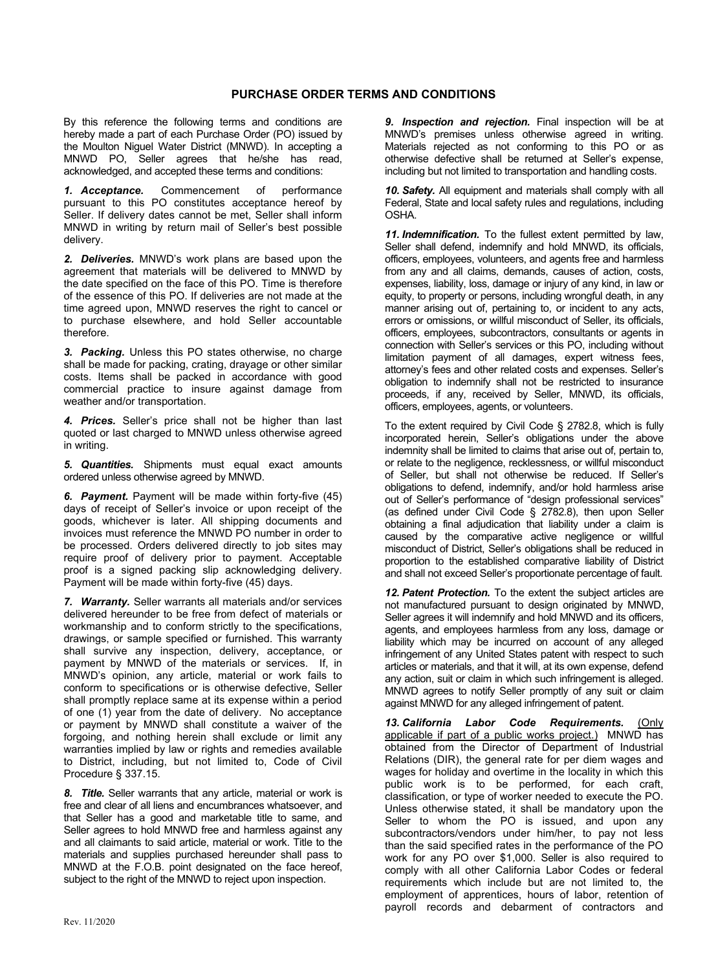## **PURCHASE ORDER TERMS AND CONDITIONS**

By this reference the following terms and conditions are hereby made a part of each Purchase Order (PO) issued by the Moulton Niguel Water District (MNWD). In accepting a MNWD PO, Seller agrees that he/she has read, acknowledged, and accepted these terms and conditions:

*1. Acceptance.* Commencement of performance pursuant to this PO constitutes acceptance hereof by Seller. If delivery dates cannot be met, Seller shall inform MNWD in writing by return mail of Seller's best possible delivery.

*2. Deliveries.* MNWD's work plans are based upon the agreement that materials will be delivered to MNWD by the date specified on the face of this PO. Time is therefore of the essence of this PO. If deliveries are not made at the time agreed upon, MNWD reserves the right to cancel or to purchase elsewhere, and hold Seller accountable therefore.

*3. Packing.* Unless this PO states otherwise, no charge shall be made for packing, crating, drayage or other similar costs. Items shall be packed in accordance with good commercial practice to insure against damage from weather and/or transportation.

*4. Prices.* Seller's price shall not be higher than last quoted or last charged to MNWD unless otherwise agreed in writing.

*5. Quantities.* Shipments must equal exact amounts ordered unless otherwise agreed by MNWD.

*6. Payment.* Payment will be made within forty-five (45) days of receipt of Seller's invoice or upon receipt of the goods, whichever is later. All shipping documents and invoices must reference the MNWD PO number in order to be processed. Orders delivered directly to job sites may require proof of delivery prior to payment. Acceptable proof is a signed packing slip acknowledging delivery. Payment will be made within forty-five (45) days.

*7. Warranty.* Seller warrants all materials and/or services delivered hereunder to be free from defect of materials or workmanship and to conform strictly to the specifications, drawings, or sample specified or furnished. This warranty shall survive any inspection, delivery, acceptance, or payment by MNWD of the materials or services. If, in MNWD's opinion, any article, material or work fails to conform to specifications or is otherwise defective, Seller shall promptly replace same at its expense within a period of one (1) year from the date of delivery. No acceptance or payment by MNWD shall constitute a waiver of the forgoing, and nothing herein shall exclude or limit any warranties implied by law or rights and remedies available to District, including, but not limited to, Code of Civil Procedure § 337.15.

*8. Title.* Seller warrants that any article, material or work is free and clear of all liens and encumbrances whatsoever, and that Seller has a good and marketable title to same, and Seller agrees to hold MNWD free and harmless against any and all claimants to said article, material or work. Title to the materials and supplies purchased hereunder shall pass to MNWD at the F.O.B. point designated on the face hereof, subject to the right of the MNWD to reject upon inspection.

*9. Inspection and rejection.* Final inspection will be at MNWD's premises unless otherwise agreed in writing. Materials rejected as not conforming to this PO or as otherwise defective shall be returned at Seller's expense, including but not limited to transportation and handling costs.

*10. Safety.* All equipment and materials shall comply with all Federal, State and local safety rules and regulations, including OSHA.

*11. Indemnification.* To the fullest extent permitted by law, Seller shall defend, indemnify and hold MNWD, its officials, officers, employees, volunteers, and agents free and harmless from any and all claims, demands, causes of action, costs, expenses, liability, loss, damage or injury of any kind, in law or equity, to property or persons, including wrongful death, in any manner arising out of, pertaining to, or incident to any acts, errors or omissions, or willful misconduct of Seller, its officials, officers, employees, subcontractors, consultants or agents in connection with Seller's services or this PO, including without limitation payment of all damages, expert witness fees, attorney's fees and other related costs and expenses. Seller's obligation to indemnify shall not be restricted to insurance proceeds, if any, received by Seller, MNWD, its officials, officers, employees, agents, or volunteers.

To the extent required by Civil Code § 2782.8, which is fully incorporated herein, Seller's obligations under the above indemnity shall be limited to claims that arise out of, pertain to, or relate to the negligence, recklessness, or willful misconduct of Seller, but shall not otherwise be reduced. If Seller's obligations to defend, indemnify, and/or hold harmless arise out of Seller's performance of "design professional services" (as defined under Civil Code § 2782.8), then upon Seller obtaining a final adjudication that liability under a claim is caused by the comparative active negligence or willful misconduct of District, Seller's obligations shall be reduced in proportion to the established comparative liability of District and shall not exceed Seller's proportionate percentage of fault.

*12. Patent Protection.* To the extent the subject articles are not manufactured pursuant to design originated by MNWD, Seller agrees it will indemnify and hold MNWD and its officers, agents, and employees harmless from any loss, damage or liability which may be incurred on account of any alleged infringement of any United States patent with respect to such articles or materials, and that it will, at its own expense, defend any action, suit or claim in which such infringement is alleged. MNWD agrees to notify Seller promptly of any suit or claim against MNWD for any alleged infringement of patent.

*13. California Labor Code Requirements.* (Only applicable if part of a public works project.) MNWD has obtained from the Director of Department of Industrial Relations (DIR), the general rate for per diem wages and wages for holiday and overtime in the locality in which this public work is to be performed, for each craft, classification, or type of worker needed to execute the PO. Unless otherwise stated, it shall be mandatory upon the Seller to whom the PO is issued, and upon any subcontractors/vendors under him/her, to pay not less than the said specified rates in the performance of the PO work for any PO over \$1,000. Seller is also required to comply with all other California Labor Codes or federal requirements which include but are not limited to, the employment of apprentices, hours of labor, retention of payroll records and debarment of contractors and